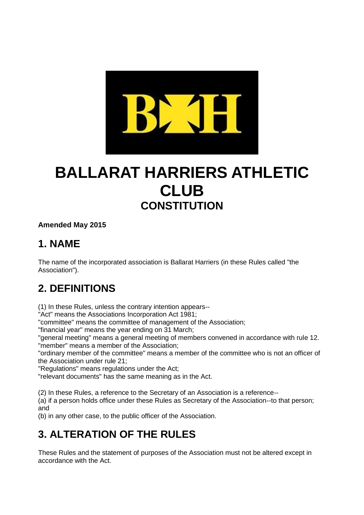

# **BALLARAT HARRIERS ATHLETIC CLUB CONSTITUTION**

#### **Amended May 2015**

### **1. NAME**

The name of the incorporated association is Ballarat Harriers (in these Rules called "the Association").

### **2. DEFINITIONS**

(1) In these Rules, unless the contrary intention appears--

"Act" means the Associations Incorporation Act 1981;

"committee" means the committee of management of the Association;

"financial year" means the year ending on 31 March;

"general meeting" means a general meeting of members convened in accordance with rule 12. "member" means a member of the Association;

"ordinary member of the committee" means a member of the committee who is not an officer of the Association under rule 21;

"Regulations" means regulations under the Act;

"relevant documents" has the same meaning as in the Act.

(2) In these Rules, a reference to the Secretary of an Association is a reference--

(a) if a person holds office under these Rules as Secretary of the Association--to that person; and

(b) in any other case, to the public officer of the Association.

### **3. ALTERATION OF THE RULES**

These Rules and the statement of purposes of the Association must not be altered except in accordance with the Act.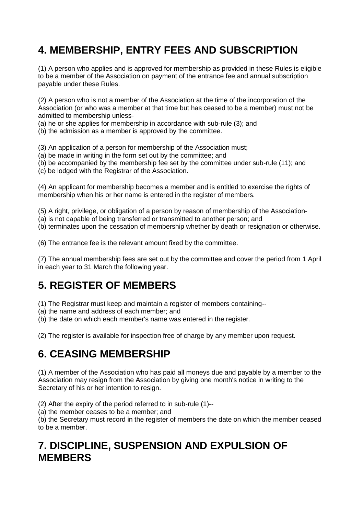## **4. MEMBERSHIP, ENTRY FEES AND SUBSCRIPTION**

(1) A person who applies and is approved for membership as provided in these Rules is eligible to be a member of the Association on payment of the entrance fee and annual subscription payable under these Rules.

(2) A person who is not a member of the Association at the time of the incorporation of the Association (or who was a member at that time but has ceased to be a member) must not be admitted to membership unless-

(a) he or she applies for membership in accordance with sub-rule (3); and

(b) the admission as a member is approved by the committee.

(3) An application of a person for membership of the Association must;

(a) be made in writing in the form set out by the committee; and

(b) be accompanied by the membership fee set by the committee under sub-rule (11); and

(c) be lodged with the Registrar of the Association.

(4) An applicant for membership becomes a member and is entitled to exercise the rights of membership when his or her name is entered in the register of members.

(5) A right, privilege, or obligation of a person by reason of membership of the Association-

(a) is not capable of being transferred or transmitted to another person; and

(b) terminates upon the cessation of membership whether by death or resignation or otherwise.

(6) The entrance fee is the relevant amount fixed by the committee.

(7) The annual membership fees are set out by the committee and cover the period from 1 April in each year to 31 March the following year.

### **5. REGISTER OF MEMBERS**

(1) The Registrar must keep and maintain a register of members containing--

(a) the name and address of each member; and

(b) the date on which each member's name was entered in the register.

(2) The register is available for inspection free of charge by any member upon request.

#### **6. CEASING MEMBERSHIP**

(1) A member of the Association who has paid all moneys due and payable by a member to the Association may resign from the Association by giving one month's notice in writing to the Secretary of his or her intention to resign.

(2) After the expiry of the period referred to in sub-rule (1)--

(a) the member ceases to be a member; and

(b) the Secretary must record in the register of members the date on which the member ceased to be a member.

#### **7. DISCIPLINE, SUSPENSION AND EXPULSION OF MEMBERS**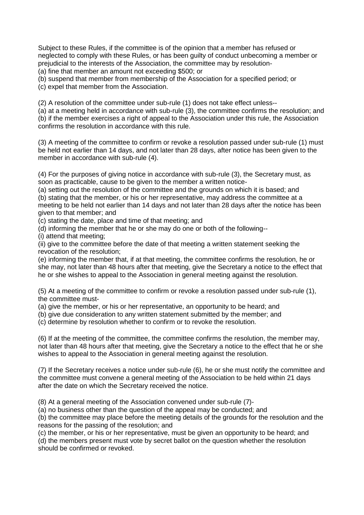Subject to these Rules, if the committee is of the opinion that a member has refused or neglected to comply with these Rules, or has been guilty of conduct unbecoming a member or prejudicial to the interests of the Association, the committee may by resolution- (a) fine that member an amount not exceeding \$500; or

(b) suspend that member from membership of the Association for a specified period; or

(c) expel that member from the Association.

(2) A resolution of the committee under sub-rule (1) does not take effect unless--

(a) at a meeting held in accordance with sub-rule (3), the committee confirms the resolution; and (b) if the member exercises a right of appeal to the Association under this rule, the Association confirms the resolution in accordance with this rule.

(3) A meeting of the committee to confirm or revoke a resolution passed under sub-rule (1) must be held not earlier than 14 days, and not later than 28 days, after notice has been given to the member in accordance with sub-rule (4).

(4) For the purposes of giving notice in accordance with sub-rule (3), the Secretary must, as soon as practicable, cause to be given to the member a written notice-

(a) setting out the resolution of the committee and the grounds on which it is based; and (b) stating that the member, or his or her representative, may address the committee at a meeting to be held not earlier than 14 days and not later than 28 days after the notice has been given to that member; and

(c) stating the date, place and time of that meeting; and

(d) informing the member that he or she may do one or both of the following--

(i) attend that meeting;

(ii) give to the committee before the date of that meeting a written statement seeking the revocation of the resolution;

(e) informing the member that, if at that meeting, the committee confirms the resolution, he or she may, not later than 48 hours after that meeting, give the Secretary a notice to the effect that he or she wishes to appeal to the Association in general meeting against the resolution.

(5) At a meeting of the committee to confirm or revoke a resolution passed under sub-rule (1), the committee must-

(a) give the member, or his or her representative, an opportunity to be heard; and

(b) give due consideration to any written statement submitted by the member; and

(c) determine by resolution whether to confirm or to revoke the resolution.

(6) If at the meeting of the committee, the committee confirms the resolution, the member may, not later than 48 hours after that meeting, give the Secretary a notice to the effect that he or she wishes to appeal to the Association in general meeting against the resolution.

(7) If the Secretary receives a notice under sub-rule (6), he or she must notify the committee and the committee must convene a general meeting of the Association to be held within 21 days after the date on which the Secretary received the notice.

(8) At a general meeting of the Association convened under sub-rule (7)-

(a) no business other than the question of the appeal may be conducted; and

(b) the committee may place before the meeting details of the grounds for the resolution and the reasons for the passing of the resolution; and

(c) the member, or his or her representative, must be given an opportunity to be heard; and

(d) the members present must vote by secret ballot on the question whether the resolution should be confirmed or revoked.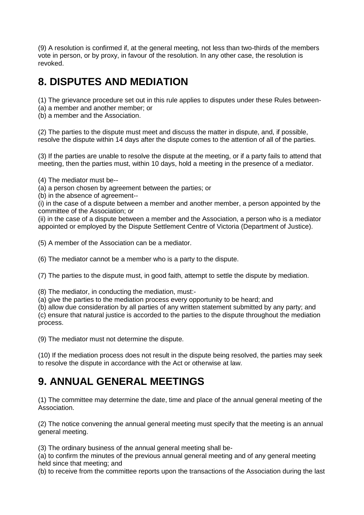(9) A resolution is confirmed if, at the general meeting, not less than two-thirds of the members vote in person, or by proxy, in favour of the resolution. In any other case, the resolution is revoked.

### **8. DISPUTES AND MEDIATION**

(1) The grievance procedure set out in this rule applies to disputes under these Rules between-

- (a) a member and another member; or
- (b) a member and the Association.

(2) The parties to the dispute must meet and discuss the matter in dispute, and, if possible, resolve the dispute within 14 days after the dispute comes to the attention of all of the parties.

(3) If the parties are unable to resolve the dispute at the meeting, or if a party fails to attend that meeting, then the parties must, within 10 days, hold a meeting in the presence of a mediator.

(4) The mediator must be--

(a) a person chosen by agreement between the parties; or

(b) in the absence of agreement--

(i) in the case of a dispute between a member and another member, a person appointed by the committee of the Association; or

(ii) in the case of a dispute between a member and the Association, a person who is a mediator appointed or employed by the Dispute Settlement Centre of Victoria (Department of Justice).

(5) A member of the Association can be a mediator.

(6) The mediator cannot be a member who is a party to the dispute.

(7) The parties to the dispute must, in good faith, attempt to settle the dispute by mediation.

(8) The mediator, in conducting the mediation, must:-

(a) give the parties to the mediation process every opportunity to be heard; and

(b) allow due consideration by all parties of any written statement submitted by any party; and (c) ensure that natural justice is accorded to the parties to the dispute throughout the mediation process.

(9) The mediator must not determine the dispute.

(10) If the mediation process does not result in the dispute being resolved, the parties may seek to resolve the dispute in accordance with the Act or otherwise at law.

### **9. ANNUAL GENERAL MEETINGS**

(1) The committee may determine the date, time and place of the annual general meeting of the Association.

(2) The notice convening the annual general meeting must specify that the meeting is an annual general meeting.

(3) The ordinary business of the annual general meeting shall be-

(a) to confirm the minutes of the previous annual general meeting and of any general meeting held since that meeting; and

(b) to receive from the committee reports upon the transactions of the Association during the last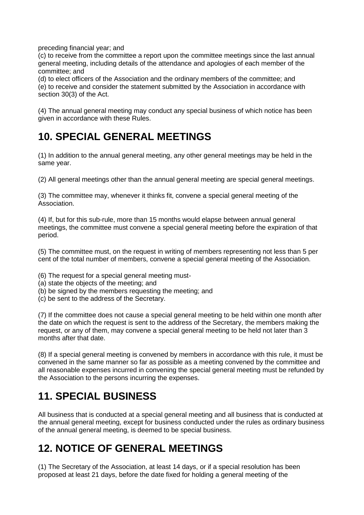preceding financial year; and

(c) to receive from the committee a report upon the committee meetings since the last annual general meeting, including details of the attendance and apologies of each member of the committee; and

(d) to elect officers of the Association and the ordinary members of the committee; and (e) to receive and consider the statement submitted by the Association in accordance with section 30(3) of the Act.

(4) The annual general meeting may conduct any special business of which notice has been given in accordance with these Rules.

### **10. SPECIAL GENERAL MEETINGS**

(1) In addition to the annual general meeting, any other general meetings may be held in the same year.

(2) All general meetings other than the annual general meeting are special general meetings.

(3) The committee may, whenever it thinks fit, convene a special general meeting of the Association.

(4) If, but for this sub-rule, more than 15 months would elapse between annual general meetings, the committee must convene a special general meeting before the expiration of that period.

(5) The committee must, on the request in writing of members representing not less than 5 per cent of the total number of members, convene a special general meeting of the Association.

- (6) The request for a special general meeting must-
- (a) state the objects of the meeting; and
- (b) be signed by the members requesting the meeting; and
- (c) be sent to the address of the Secretary.

(7) If the committee does not cause a special general meeting to be held within one month after the date on which the request is sent to the address of the Secretary, the members making the request, or any of them, may convene a special general meeting to be held not later than 3 months after that date.

(8) If a special general meeting is convened by members in accordance with this rule, it must be convened in the same manner so far as possible as a meeting convened by the committee and all reasonable expenses incurred in convening the special general meeting must be refunded by the Association to the persons incurring the expenses.

### **11. SPECIAL BUSINESS**

All business that is conducted at a special general meeting and all business that is conducted at the annual general meeting, except for business conducted under the rules as ordinary business of the annual general meeting, is deemed to be special business.

### **12. NOTICE OF GENERAL MEETINGS**

(1) The Secretary of the Association, at least 14 days, or if a special resolution has been proposed at least 21 days, before the date fixed for holding a general meeting of the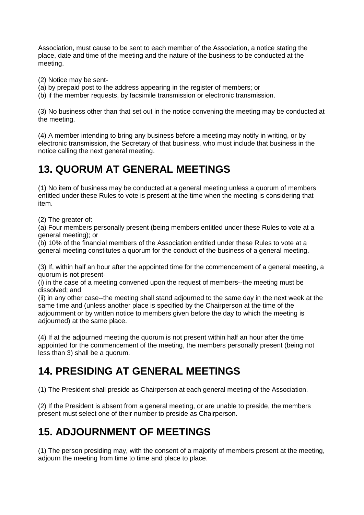Association, must cause to be sent to each member of the Association, a notice stating the place, date and time of the meeting and the nature of the business to be conducted at the meeting.

(2) Notice may be sent-

(a) by prepaid post to the address appearing in the register of members; or

(b) if the member requests, by facsimile transmission or electronic transmission.

(3) No business other than that set out in the notice convening the meeting may be conducted at the meeting.

(4) A member intending to bring any business before a meeting may notify in writing, or by electronic transmission, the Secretary of that business, who must include that business in the notice calling the next general meeting.

### **13. QUORUM AT GENERAL MEETINGS**

(1) No item of business may be conducted at a general meeting unless a quorum of members entitled under these Rules to vote is present at the time when the meeting is considering that item.

(2) The greater of:

(a) Four members personally present (being members entitled under these Rules to vote at a general meeting); or

(b) 10% of the financial members of the Association entitled under these Rules to vote at a general meeting constitutes a quorum for the conduct of the business of a general meeting.

(3) If, within half an hour after the appointed time for the commencement of a general meeting, a quorum is not present-

(i) in the case of a meeting convened upon the request of members--the meeting must be dissolved; and

(ii) in any other case--the meeting shall stand adjourned to the same day in the next week at the same time and (unless another place is specified by the Chairperson at the time of the adjournment or by written notice to members given before the day to which the meeting is adjourned) at the same place.

(4) If at the adjourned meeting the quorum is not present within half an hour after the time appointed for the commencement of the meeting, the members personally present (being not less than 3) shall be a quorum.

### **14. PRESIDING AT GENERAL MEETINGS**

(1) The President shall preside as Chairperson at each general meeting of the Association.

(2) If the President is absent from a general meeting, or are unable to preside, the members present must select one of their number to preside as Chairperson.

### **15. ADJOURNMENT OF MEETINGS**

(1) The person presiding may, with the consent of a majority of members present at the meeting, adjourn the meeting from time to time and place to place.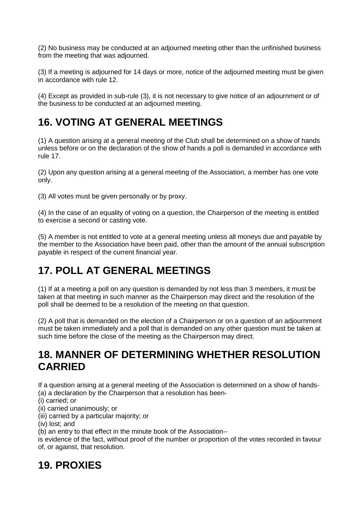(2) No business may be conducted at an adjourned meeting other than the unfinished business from the meeting that was adjourned.

(3) If a meeting is adjourned for 14 days or more, notice of the adjourned meeting must be given in accordance with rule 12.

(4) Except as provided in sub-rule (3), it is not necessary to give notice of an adjournment or of the business to be conducted at an adjourned meeting.

#### **16. VOTING AT GENERAL MEETINGS**

(1) A question arising at a general meeting of the Club shall be determined on a show of hands unless before or on the declaration of the show of hands a poll is demanded in accordance with rule 17.

(2) Upon any question arising at a general meeting of the Association, a member has one vote only.

(3) All votes must be given personally or by proxy.

(4) In the case of an equality of voting on a question, the Chairperson of the meeting is entitled to exercise a second or casting vote.

(5) A member is not entitled to vote at a general meeting unless all moneys due and payable by the member to the Association have been paid, other than the amount of the annual subscription payable in respect of the current financial year.

### **17. POLL AT GENERAL MEETINGS**

(1) If at a meeting a poll on any question is demanded by not less than 3 members, it must be taken at that meeting in such manner as the Chairperson may direct and the resolution of the poll shall be deemed to be a resolution of the meeting on that question.

(2) A poll that is demanded on the election of a Chairperson or on a question of an adjournment must be taken immediately and a poll that is demanded on any other question must be taken at such time before the close of the meeting as the Chairperson may direct.

#### **18. MANNER OF DETERMINING WHETHER RESOLUTION CARRIED**

If a question arising at a general meeting of the Association is determined on a show of hands- (a) a declaration by the Chairperson that a resolution has been-

(i) carried; or

(ii) carried unanimously; or

(iii) carried by a particular majority; or

(iv) lost; and

(b) an entry to that effect in the minute book of the Association--

is evidence of the fact, without proof of the number or proportion of the votes recorded in favour of, or against, that resolution.

### **19. PROXIES**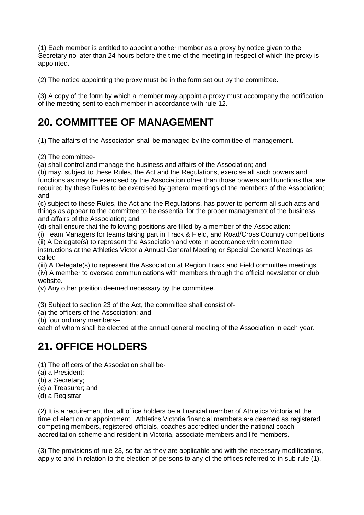(1) Each member is entitled to appoint another member as a proxy by notice given to the Secretary no later than 24 hours before the time of the meeting in respect of which the proxy is appointed.

(2) The notice appointing the proxy must be in the form set out by the committee.

(3) A copy of the form by which a member may appoint a proxy must accompany the notification of the meeting sent to each member in accordance with rule 12.

#### **20. COMMITTEE OF MANAGEMENT**

(1) The affairs of the Association shall be managed by the committee of management.

(2) The committee-

(a) shall control and manage the business and affairs of the Association; and

(b) may, subject to these Rules, the Act and the Regulations, exercise all such powers and functions as may be exercised by the Association other than those powers and functions that are required by these Rules to be exercised by general meetings of the members of the Association; and

(c) subject to these Rules, the Act and the Regulations, has power to perform all such acts and things as appear to the committee to be essential for the proper management of the business and affairs of the Association; and

(d) shall ensure that the following positions are filled by a member of the Association:

(i) Team Managers for teams taking part in Track & Field, and Road/Cross Country competitions (ii) A Delegate(s) to represent the Association and vote in accordance with committee

instructions at the Athletics Victoria Annual General Meeting or Special General Meetings as called

(iii) A Delegate(s) to represent the Association at Region Track and Field committee meetings (iv) A member to oversee communications with members through the official newsletter or club website.

(v) Any other position deemed necessary by the committee.

(3) Subject to section 23 of the Act, the committee shall consist of-

(a) the officers of the Association; and

(b) four ordinary members--

each of whom shall be elected at the annual general meeting of the Association in each year.

### **21. OFFICE HOLDERS**

(1) The officers of the Association shall be-

(a) a President;

(b) a Secretary;

- (c) a Treasurer; and
- (d) a Registrar.

(2) It is a requirement that all office holders be a financial member of Athletics Victoria at the time of election or appointment. Athletics Victoria financial members are deemed as registered competing members, registered officials, coaches accredited under the national coach accreditation scheme and resident in Victoria, associate members and life members.

(3) The provisions of rule 23, so far as they are applicable and with the necessary modifications, apply to and in relation to the election of persons to any of the offices referred to in sub-rule (1).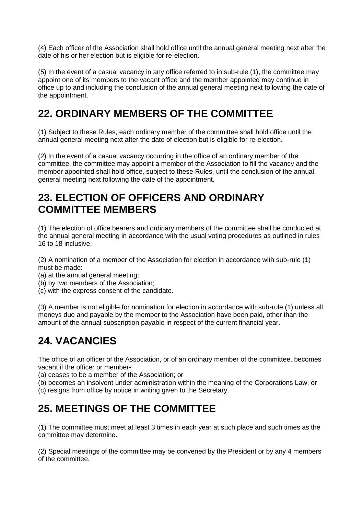(4) Each officer of the Association shall hold office until the annual general meeting next after the date of his or her election but is eligible for re-election.

(5) In the event of a casual vacancy in any office referred to in sub-rule (1), the committee may appoint one of its members to the vacant office and the member appointed may continue in office up to and including the conclusion of the annual general meeting next following the date of the appointment.

#### **22. ORDINARY MEMBERS OF THE COMMITTEE**

(1) Subject to these Rules, each ordinary member of the committee shall hold office until the annual general meeting next after the date of election but is eligible for re-election.

(2) In the event of a casual vacancy occurring in the office of an ordinary member of the committee, the committee may appoint a member of the Association to fill the vacancy and the member appointed shall hold office, subject to these Rules, until the conclusion of the annual general meeting next following the date of the appointment.

#### **23. ELECTION OF OFFICERS AND ORDINARY COMMITTEE MEMBERS**

(1) The election of office bearers and ordinary members of the committee shall be conducted at the annual general meeting in accordance with the usual voting procedures as outlined in rules 16 to 18 inclusive.

(2) A nomination of a member of the Association for election in accordance with sub-rule (1) must be made:

- (a) at the annual general meeting;
- (b) by two members of the Association;
- (c) with the express consent of the candidate.

(3) A member is not eligible for nomination for election in accordance with sub-rule (1) unless all moneys due and payable by the member to the Association have been paid, other than the amount of the annual subscription payable in respect of the current financial year.

### **24. VACANCIES**

The office of an officer of the Association, or of an ordinary member of the committee, becomes vacant if the officer or member-

(a) ceases to be a member of the Association; or

(b) becomes an insolvent under administration within the meaning of the Corporations Law; or (c) resigns from office by notice in writing given to the Secretary.

#### **25. MEETINGS OF THE COMMITTEE**

(1) The committee must meet at least 3 times in each year at such place and such times as the committee may determine.

(2) Special meetings of the committee may be convened by the President or by any 4 members of the committee.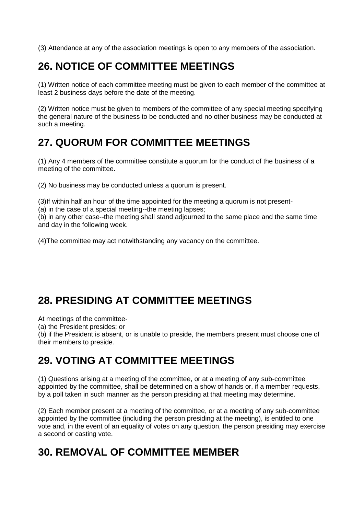(3) Attendance at any of the association meetings is open to any members of the association.

### **26. NOTICE OF COMMITTEE MEETINGS**

(1) Written notice of each committee meeting must be given to each member of the committee at least 2 business days before the date of the meeting.

(2) Written notice must be given to members of the committee of any special meeting specifying the general nature of the business to be conducted and no other business may be conducted at such a meeting.

### **27. QUORUM FOR COMMITTEE MEETINGS**

(1) Any 4 members of the committee constitute a quorum for the conduct of the business of a meeting of the committee.

(2) No business may be conducted unless a quorum is present.

(3)If within half an hour of the time appointed for the meeting a quorum is not present-

(a) in the case of a special meeting--the meeting lapses;

(b) in any other case--the meeting shall stand adjourned to the same place and the same time and day in the following week.

(4)The committee may act notwithstanding any vacancy on the committee.

### **28. PRESIDING AT COMMITTEE MEETINGS**

At meetings of the committee-

(a) the President presides; or

(b) if the President is absent, or is unable to preside, the members present must choose one of their members to preside.

#### **29. VOTING AT COMMITTEE MEETINGS**

(1) Questions arising at a meeting of the committee, or at a meeting of any sub-committee appointed by the committee, shall be determined on a show of hands or, if a member requests, by a poll taken in such manner as the person presiding at that meeting may determine.

(2) Each member present at a meeting of the committee, or at a meeting of any sub-committee appointed by the committee (including the person presiding at the meeting), is entitled to one vote and, in the event of an equality of votes on any question, the person presiding may exercise a second or casting vote.

#### **30. REMOVAL OF COMMITTEE MEMBER**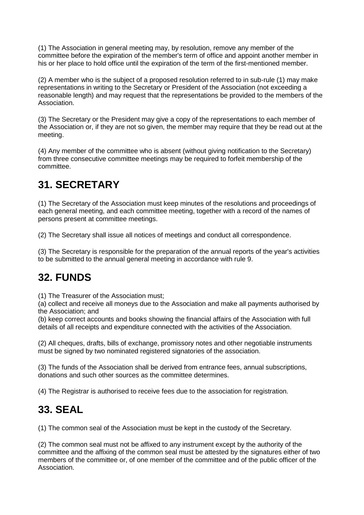(1) The Association in general meeting may, by resolution, remove any member of the committee before the expiration of the member's term of office and appoint another member in his or her place to hold office until the expiration of the term of the first-mentioned member.

(2) A member who is the subject of a proposed resolution referred to in sub-rule (1) may make representations in writing to the Secretary or President of the Association (not exceeding a reasonable length) and may request that the representations be provided to the members of the Association.

(3) The Secretary or the President may give a copy of the representations to each member of the Association or, if they are not so given, the member may require that they be read out at the meeting.

(4) Any member of the committee who is absent (without giving notification to the Secretary) from three consecutive committee meetings may be required to forfeit membership of the committee.

## **31. SECRETARY**

(1) The Secretary of the Association must keep minutes of the resolutions and proceedings of each general meeting, and each committee meeting, together with a record of the names of persons present at committee meetings.

(2) The Secretary shall issue all notices of meetings and conduct all correspondence.

(3) The Secretary is responsible for the preparation of the annual reports of the year's activities to be submitted to the annual general meeting in accordance with rule 9.

### **32. FUNDS**

(1) The Treasurer of the Association must;

(a) collect and receive all moneys due to the Association and make all payments authorised by the Association; and

(b) keep correct accounts and books showing the financial affairs of the Association with full details of all receipts and expenditure connected with the activities of the Association.

(2) All cheques, drafts, bills of exchange, promissory notes and other negotiable instruments must be signed by two nominated registered signatories of the association.

(3) The funds of the Association shall be derived from entrance fees, annual subscriptions, donations and such other sources as the committee determines.

(4) The Registrar is authorised to receive fees due to the association for registration.

#### **33. SEAL**

(1) The common seal of the Association must be kept in the custody of the Secretary.

(2) The common seal must not be affixed to any instrument except by the authority of the committee and the affixing of the common seal must be attested by the signatures either of two members of the committee or, of one member of the committee and of the public officer of the Association.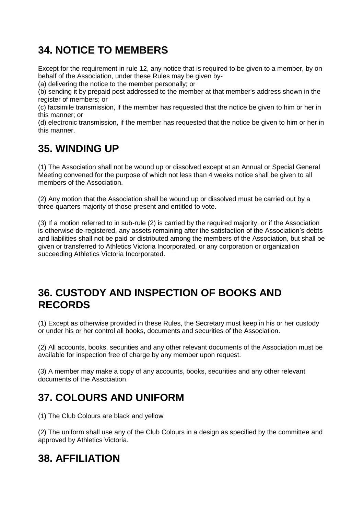### **34. NOTICE TO MEMBERS**

Except for the requirement in rule 12, any notice that is required to be given to a member, by on behalf of the Association, under these Rules may be given by-

(a) delivering the notice to the member personally; or

(b) sending it by prepaid post addressed to the member at that member's address shown in the register of members; or

(c) facsimile transmission, if the member has requested that the notice be given to him or her in this manner; or

(d) electronic transmission, if the member has requested that the notice be given to him or her in this manner.

### **35. WINDING UP**

(1) The Association shall not be wound up or dissolved except at an Annual or Special General Meeting convened for the purpose of which not less than 4 weeks notice shall be given to all members of the Association.

(2) Any motion that the Association shall be wound up or dissolved must be carried out by a three-quarters majority of those present and entitled to vote.

(3) If a motion referred to in sub-rule (2) is carried by the required majority, or if the Association is otherwise de-registered, any assets remaining after the satisfaction of the Association's debts and liabilities shall not be paid or distributed among the members of the Association, but shall be given or transferred to Athletics Victoria Incorporated, or any corporation or organization succeeding Athletics Victoria Incorporated.

#### **36. CUSTODY AND INSPECTION OF BOOKS AND RECORDS**

(1) Except as otherwise provided in these Rules, the Secretary must keep in his or her custody or under his or her control all books, documents and securities of the Association.

(2) All accounts, books, securities and any other relevant documents of the Association must be available for inspection free of charge by any member upon request.

(3) A member may make a copy of any accounts, books, securities and any other relevant documents of the Association.

### **37. COLOURS AND UNIFORM**

(1) The Club Colours are black and yellow

(2) The uniform shall use any of the Club Colours in a design as specified by the committee and approved by Athletics Victoria.

### **38. AFFILIATION**